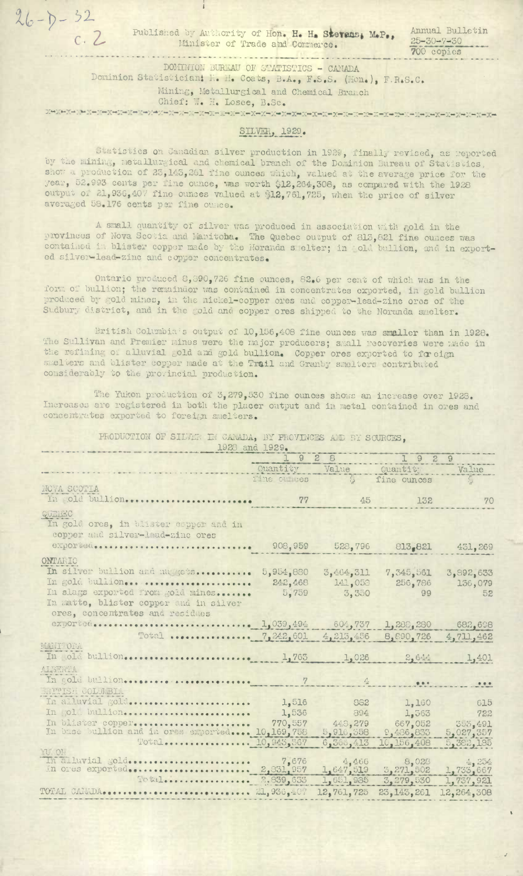$26 - 0 - 32$  $c.2$ 

Published by Authority of Hon. H. H. Stevens, M.P., Minister of Trade and Commerce.

Annual Bulletin  $25 - 30 - 7 - 30$ 700 copies

DOMINION BUREAU OF STATISTICS - CANADA

Dominion Statistician: K. H. Coats, B.A., F.S.S. (Hon.), F.R.S.C. Mining, Metallurgical and Chemical Branch Chief: W. H. Losee, B.Sc.

## SILVER, 1929.

Statistics on Canadian silver production in 1929, finally revised, as reported<br>by the mining, metallurgical and chemical branch of the Dominion Bureau of Statistics, show a production of 23,143,261 fine ounces which, valued at the average price for the year, 52.993 cents per fine ounce, was worth \$12,264,308, as compared with the 1928 output of 21,936,407 fine cunces valued at \$12,761,725, when the price of silver averaged 58.176 cents per fine cunce.

A small quantity of silver was produced in association with gold in the provinces of Nova Scotia and Manitoba. The Quebec output of 813,821 fine ounces was contained in blister copper made by the Horanda s elter; in old bullion, and in exported silver-lead-zinc and copper concentrates.

Ontario produced 8,390,726 fine ounces, 82.6 per cent of which was in the form of bullion; the remainder was contained in concentrates exported, in gold bullion produced by gold mines, in the nickel-copper ores and copper-lead-zinc ores of the Sudbury district, and in the gold and copper ores shipped to the Norunda smelter.

British Columbia's output of 10,156,408 fine ounces was smaller than in 1928. The Sullivan and Premier mines were the major producers; small recoveries were made in the refining of alluvial gold and gold bullion. Copper ores exported to foreign smelters and blister copper made at the Trail and Granby smelters contributed considerably to the provincial production.

The Yukon production of 3,279,530 fine ounces shows an increase over 1928. Increases are registered in both the placer output and in metal contained in ores and concentrates exported to foreign smelters.

> PRODUCTION OF SILVER IN CANADA, BY PROVINCES AND BY SOURCES, 1928 and 1929.

|                                                                                                                | 1928                 |                        | 1929                    |                         |
|----------------------------------------------------------------------------------------------------------------|----------------------|------------------------|-------------------------|-------------------------|
|                                                                                                                | Quantity Value       |                        | Quantity Value          |                         |
|                                                                                                                | Tine outcos by       |                        | fine ounces             | $\zeta$                 |
| NOVA SCOTIA                                                                                                    |                      |                        |                         |                         |
| In pold bullion                                                                                                | 77                   | 45                     | 132                     | 70                      |
| QUEBEC<br>In gold ores, in blister espper and in<br>copper and silver-lead-zinc ores                           |                      |                        |                         |                         |
| exported                                                                                                       |                      | 908,959 528,796        |                         | 813.821 451,269         |
| ONTARIO                                                                                                        |                      |                        |                         |                         |
| In silver bullion and muscus<br>In gold bullion                                                                | 5,954,880<br>242,468 | 3,464,311<br>141,058   | 7,345,561<br>256,786    | 3,892,633<br>136,079    |
| In slags exported from gold mines<br>In matte, blister copper and in silver<br>ores, concentrates and residues | 5,759                | 3,350                  | 99                      | 52                      |
|                                                                                                                |                      |                        | 1,288,280               | 682,698                 |
| Total  7,242,601                                                                                               |                      | 4,215,456              | 8,890,726               | 4,711,462               |
| MANTHORM.                                                                                                      |                      | 1,026                  | 2,644                   | 1,401                   |
| ALETREA                                                                                                        |                      |                        |                         |                         |
|                                                                                                                | 7                    | $\Delta$               | 8.8.4                   | $\bullet\bullet\bullet$ |
| <b>ANTIUSH COLUMBIA</b>                                                                                        |                      |                        |                         |                         |
| In alluvial golds                                                                                              | 1,516                | 862<br>an sebagai      | 1,160<br>an an          | 615                     |
| In gold bullion                                                                                                | 1,536                | 894                    | 1,363                   | 722                     |
| In blister copper                                                                                              | 770,557              | 448,279                | 667,052                 | 5,027,357               |
| In base bullion and in ords exported  10,169,758                                                               |                      | 5,916,358<br>6,366,413 | 9,486,833<br>10,156,408 | 5,382,185               |
| U OI                                                                                                           |                      |                        |                         |                         |
| In alluvial gold<br>In ores exported                                                                           | 2,831,957            | 1,647,519              | 8,028<br>3,271,502      | 4,254<br>1,733,667      |
|                                                                                                                | 2.839,633            | 1,651,935              | 3,279,530               | 1,737,921               |
| TOTAL CANADA                                                                                                   | 21,936,407           | 12,761,725             | 23, 143, 261            | 12,264,308              |